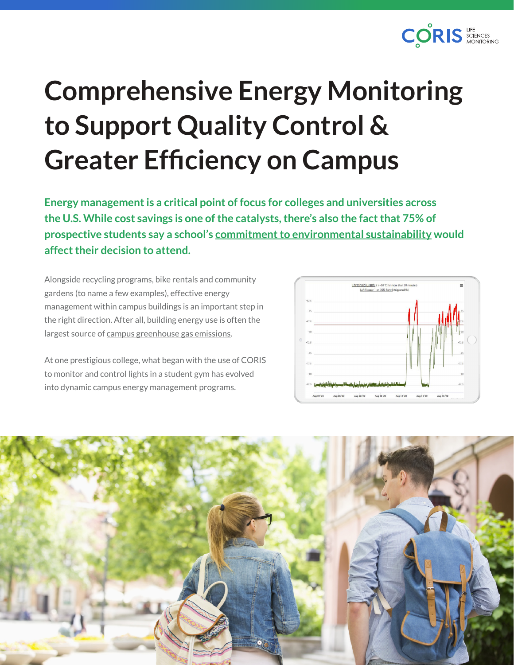

## **Comprehensive Energy Monitoring to Support Quality Control & Greater Efficiency on Campus**

**Energy management is a critical point of focus for colleges and universities across the U.S. While cost savings is one of the catalysts, there's also the fact that 75% of prospective students say a school's [commitment to environmental sustainability](https://edtechmagazine.com/higher/article/2021/08/build-sustainable-campuses-efficient-energy-management-critical-perfcon) would affect their decision to attend.**

Alongside recycling programs, bike rentals and community gardens (to name a few examples), effective energy management within campus buildings is an important step in the right direction. After all, building energy use is often the largest source of [campus greenhouse gas emissions.](https://www.energystar.gov/buildings/resources_audience/colleges_universities)

At one prestigious college, what began with the use of CORIS to monitor and control lights in a student gym has evolved into dynamic campus energy management programs.



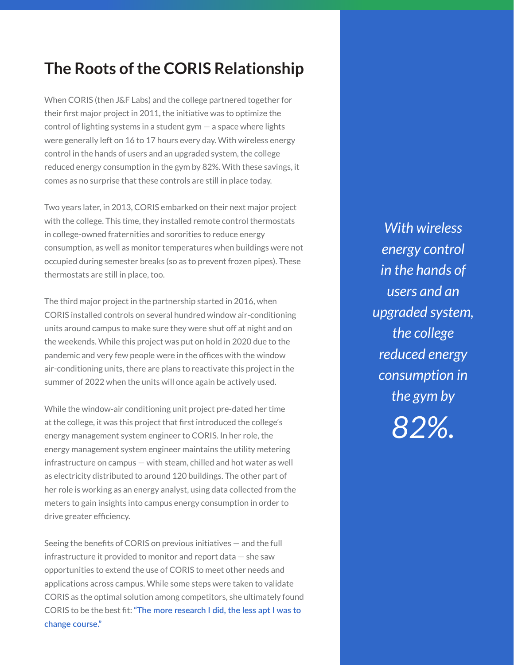## **The Roots of the CORIS Relationship**

When CORIS (then J&F Labs) and the college partnered together for their first major project in 2011, the initiative was to optimize the control of lighting systems in a student gym  $-$  a space where lights were generally left on 16 to 17 hours every day. With wireless energy control in the hands of users and an upgraded system, the college reduced energy consumption in the gym by 82%. With these savings, it comes as no surprise that these controls are still in place today.

Two years later, in 2013, CORIS embarked on their next major project with the college. This time, they installed remote control thermostats in college-owned fraternities and sororities to reduce energy consumption, as well as monitor temperatures when buildings were not occupied during semester breaks (so as to prevent frozen pipes). These thermostats are still in place, too.

The third major project in the partnership started in 2016, when CORIS installed controls on several hundred window air-conditioning units around campus to make sure they were shut off at night and on the weekends. While this project was put on hold in 2020 due to the pandemic and very few people were in the offices with the window air-conditioning units, there are plans to reactivate this project in the summer of 2022 when the units will once again be actively used.

While the window-air conditioning unit project pre-dated her time at the college, it was this project that first introduced the college's energy management system engineer to CORIS. In her role, the energy management system engineer maintains the utility metering infrastructure on campus — with steam, chilled and hot water as well as electricity distributed to around 120 buildings. The other part of her role is working as an energy analyst, using data collected from the meters to gain insights into campus energy consumption in order to drive greater efficiency.

Seeing the benefits of CORIS on previous initiatives — and the full infrastructure it provided to monitor and report data — she saw opportunities to extend the use of CORIS to meet other needs and applications across campus. While some steps were taken to validate CORIS as the optimal solution among competitors, she ultimately found CORIS to be the best fit: **"The more research I did, the less apt I was to change course."**

*With wireless energy control in the hands of users and an upgraded system, the college reduced energy consumption in the gym by 82%.*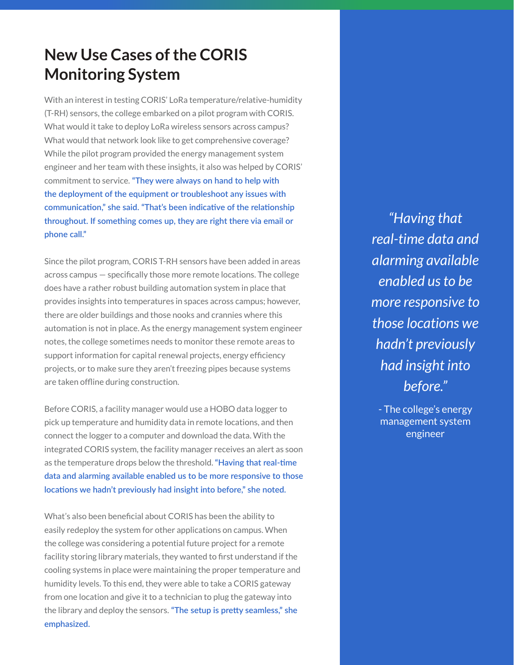## **New Use Cases of the CORIS Monitoring System**

With an interest in testing CORIS' LoRa temperature/relative-humidity (T-RH) sensors, the college embarked on a pilot program with CORIS. What would it take to deploy LoRa wireless sensors across campus? What would that network look like to get comprehensive coverage? While the pilot program provided the energy management system engineer and her team with these insights, it also was helped by CORIS' commitment to service. **"They were always on hand to help with the deployment of the equipment or troubleshoot any issues with communication," she said. "That's been indicative of the relationship throughout. If something comes up, they are right there via email or phone call."**

Since the pilot program, CORIS T-RH sensors have been added in areas across campus — specifically those more remote locations. The college does have a rather robust building automation system in place that provides insights into temperatures in spaces across campus; however, there are older buildings and those nooks and crannies where this automation is not in place. As the energy management system engineer notes, the college sometimes needs to monitor these remote areas to support information for capital renewal projects, energy efficiency projects, or to make sure they aren't freezing pipes because systems are taken offline during construction.

Before CORIS, a facility manager would use a HOBO data logger to pick up temperature and humidity data in remote locations, and then connect the logger to a computer and download the data. With the integrated CORIS system, the facility manager receives an alert as soon as the temperature drops below the threshold. **"Having that real-time data and alarming available enabled us to be more responsive to those locations we hadn't previously had insight into before," she noted.**

What's also been beneficial about CORIS has been the ability to easily redeploy the system for other applications on campus. When the college was considering a potential future project for a remote facility storing library materials, they wanted to first understand if the cooling systems in place were maintaining the proper temperature and humidity levels. To this end, they were able to take a CORIS gateway from one location and give it to a technician to plug the gateway into the library and deploy the sensors. **"The setup is pretty seamless," she emphasized.**

*"Having that real-time data and alarming available enabled us to be more responsive to those locations we hadn't previously had insight into before."*

- The college's energy management system engineer